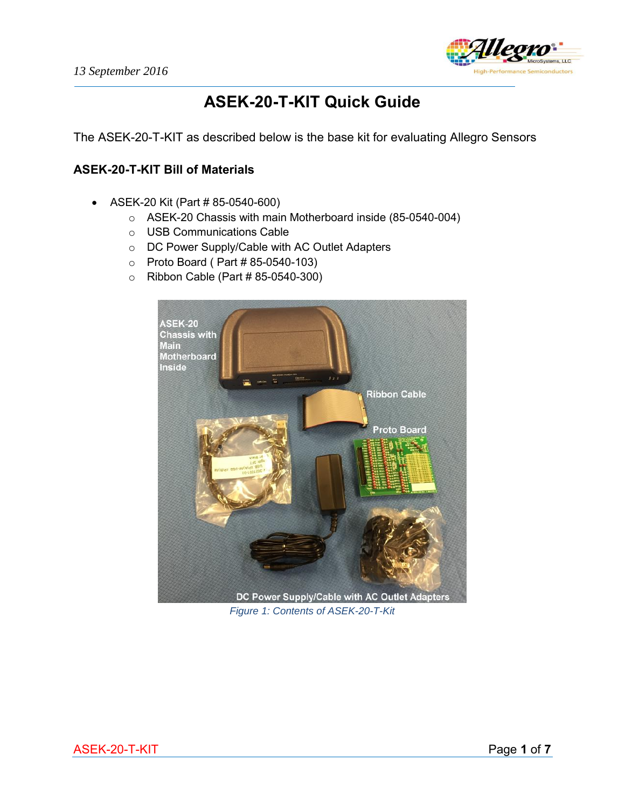

# **ASEK-20-T-KIT Quick Guide**

The ASEK-20-T-KIT as described below is the base kit for evaluating Allegro Sensors

### **ASEK-20-T-KIT Bill of Materials**

- ASEK-20 Kit (Part # 85-0540-600)
	- o ASEK-20 Chassis with main Motherboard inside (85-0540-004)
	- o USB Communications Cable
	- o DC Power Supply/Cable with AC Outlet Adapters
	- o Proto Board ( Part # 85-0540-103)
	- $\circ$  Ribbon Cable (Part #85-0540-300)



*Figure 1: Contents of ASEK-20-T-Kit*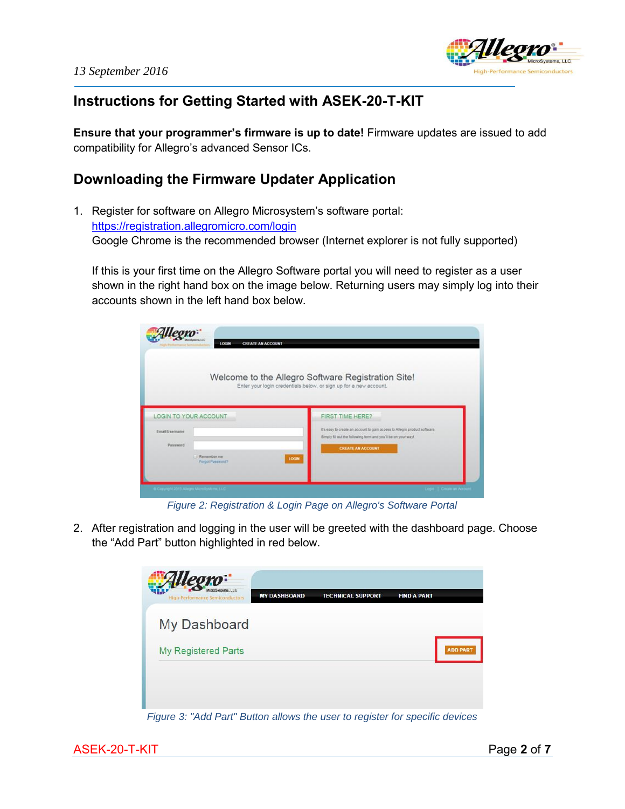

## **Instructions for Getting Started with ASEK-20-T-KIT**

**Ensure that your programmer's firmware is up to date!** Firmware updates are issued to add compatibility for Allegro's advanced Sensor ICs.

### **Downloading the Firmware Updater Application**

1. Register for software on Allegro Microsystem's software portal: <https://registration.allegromicro.com/login> Google Chrome is the recommended browser (Internet explorer is not fully supported)

If this is your first time on the Allegro Software portal you will need to register as a user shown in the right hand box on the image below. Returning users may simply log into their accounts shown in the left hand box below.

| <b>LOGIN</b>                                                              | <b>CREATE AN ACCOUNT</b>                                                                                                                    |
|---------------------------------------------------------------------------|---------------------------------------------------------------------------------------------------------------------------------------------|
|                                                                           | Welcome to the Allegro Software Registration Site!<br>Enter your login credentials below, or sign up for a new account.                     |
|                                                                           |                                                                                                                                             |
|                                                                           |                                                                                                                                             |
|                                                                           | <b>FIRST TIME HERE?</b>                                                                                                                     |
| EmailUsername                                                             | It's easy to create an account to gain access to Allegro product software.<br>Simply fill out the following form and you'll be on your way! |
| Password                                                                  | <b>CREATE AN ACCOUNT</b>                                                                                                                    |
| <b>LOGIN TO YOUR ACCOUNT</b><br><b>E. Remember me</b><br>Forgot Password? | LOGIN                                                                                                                                       |

*Figure 2: Registration & Login Page on Allegro's Software Portal* 

2. After registration and logging in the user will be greeted with the dashboard page. Choose the "Add Part" button highlighted in red below.



*Figure 3: "Add Part" Button allows the user to register for specific devices*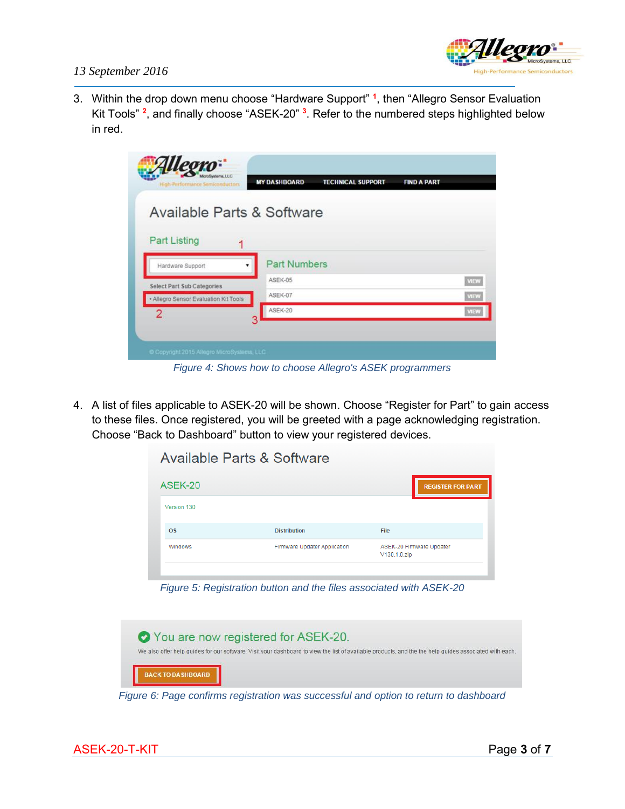

#### *13 September 2016*

3. Within the drop down menu choose "Hardware Support" **<sup>1</sup>** , then "Allegro Sensor Evaluation Kit Tools" **<sup>2</sup>** , and finally choose "ASEK-20" **<sup>3</sup>** . Refer to the numbered steps highlighted below in red.

| Available Parts & Software<br><b>Part Numbers</b><br>ASEK-05 |  |             |
|--------------------------------------------------------------|--|-------------|
|                                                              |  |             |
|                                                              |  |             |
|                                                              |  |             |
|                                                              |  |             |
|                                                              |  | <b>VIEW</b> |
| ASEK-07                                                      |  | VIEW        |
| ASEK-20                                                      |  | VIEW        |
|                                                              |  |             |

*Figure 4: Shows how to choose Allegro's ASEK programmers*

4. A list of files applicable to ASEK-20 will be shown. Choose "Register for Part" to gain access to these files. Once registered, you will be greeted with a page acknowledging registration. Choose "Back to Dashboard" button to view your registered devices.

Available Parts & Software

| ASEK-20     |                              | <b>REGISTER FOR PART</b>                 |
|-------------|------------------------------|------------------------------------------|
| Version 130 |                              |                                          |
| <b>OS</b>   | <b>Distribution</b>          | File                                     |
| Windows     | Firmware Updater Application | ASEK-20 Firmware Updater<br>V130.1.0.zip |

*Figure 5: Registration button and the files associated with ASEK-20*



*Figure 6: Page confirms registration was successful and option to return to dashboard*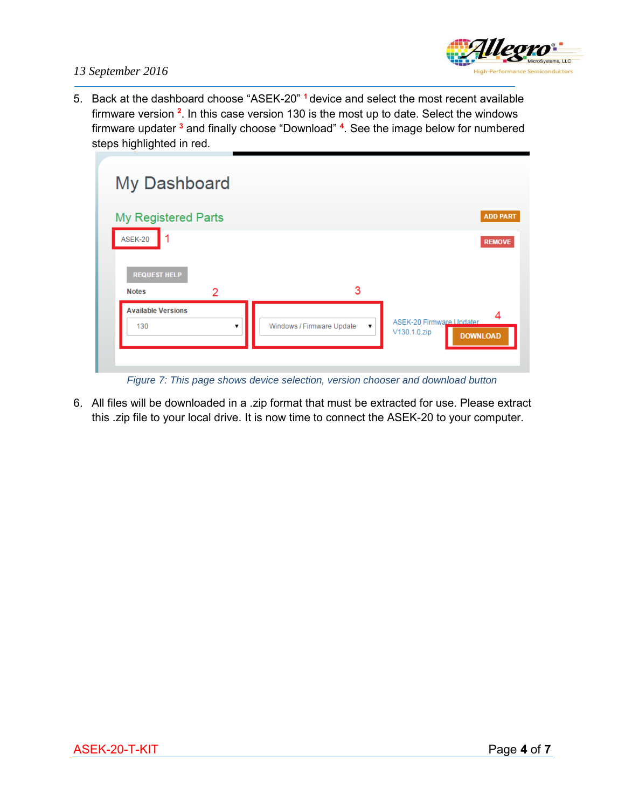

#### *13 September 2016*

5. Back at the dashboard choose "ASEK-20" **<sup>1</sup>** device and select the most recent available firmware version **<sup>2</sup>** . In this case version 130 is the most up to date. Select the windows firmware updater **<sup>3</sup>** and finally choose "Download" **<sup>4</sup>** . See the image below for numbered steps highlighted in red.

| My Dashboard                             |                                                 |                                                                  |
|------------------------------------------|-------------------------------------------------|------------------------------------------------------------------|
| <b>My Registered Parts</b>               |                                                 | <b>ADD PART</b>                                                  |
| 1<br>ASEK-20                             |                                                 | <b>REMOVE</b>                                                    |
| <b>REQUEST HELP</b><br>2<br><b>Notes</b> | 3                                               |                                                                  |
| <b>Available Versions</b><br>130         | Windows / Firmware Update<br>$\pmb{\mathrm{v}}$ | 4<br>ASEK-20 Firmware Undater<br>V130.1.0.zip<br><b>DOWNLOAD</b> |
|                                          |                                                 |                                                                  |

*Figure 7: This page shows device selection, version chooser and download button*

6. All files will be downloaded in a .zip format that must be extracted for use. Please extract this .zip file to your local drive. It is now time to connect the ASEK-20 to your computer.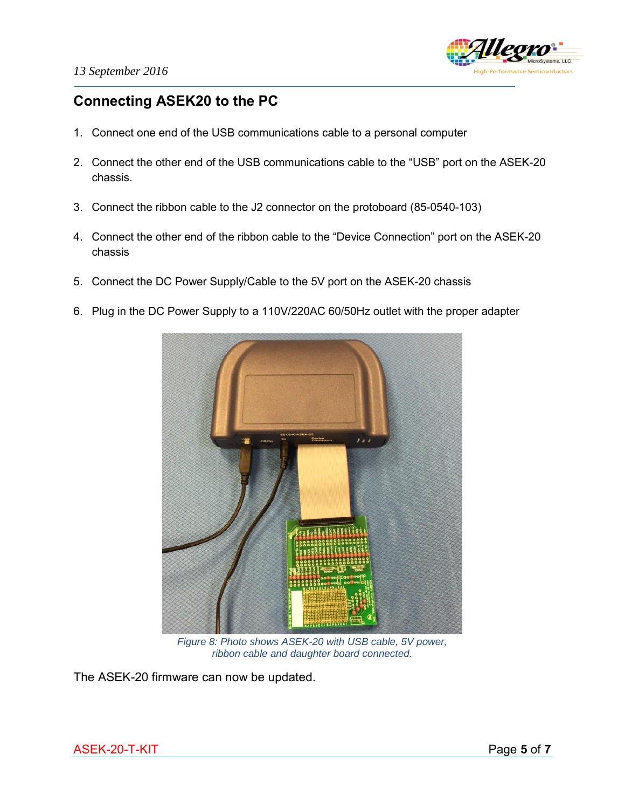

# **Connecting ASEK20 to the PC**

- 1. Connect one end of the USB communications cable to a personal computer
- 2. Connect the other end of the USB communications cable to the "USB" port on the ASEK-20 chassis.
- 3. Connect the ribbon cable to the J2 connector on the protoboard (85-0540-103)
- 4. Connect the other end of the ribbon cable to the "Device Connection" port on the ASEK-20 chassis
- 5. Connect the DC Power Supply/Cable to the 5V port on the ASEK-20 chassis
- 6. Plug in the DC Power Supply to a 110V/220AC 60/50Hz outlet with the proper adapter



*Figure 8: Photo shows ASEK-20 with USB cable, 5V power, ribbon cable and daughter board connected.* 

The ASEK-20 firmware can now be updated.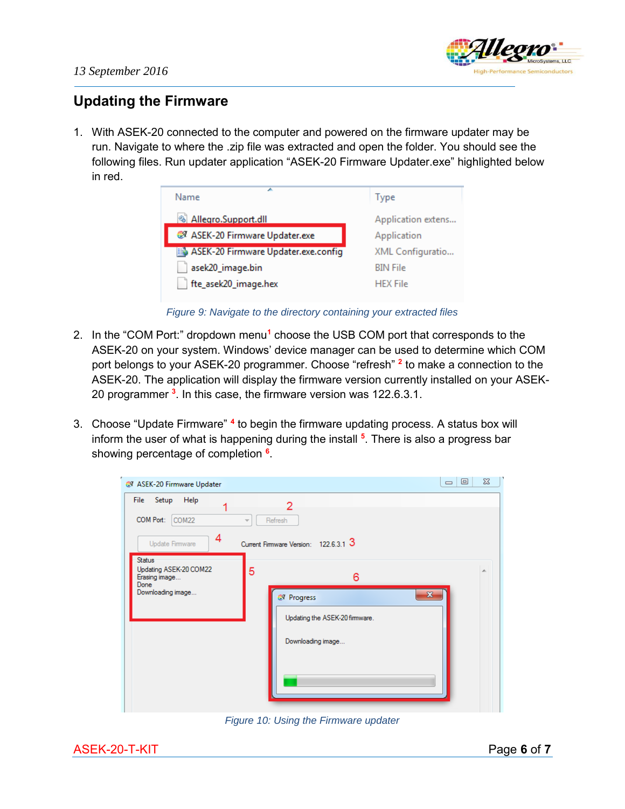

### **Updating the Firmware**

1. With ASEK-20 connected to the computer and powered on the firmware updater may be run. Navigate to where the .zip file was extracted and open the folder. You should see the following files. Run updater application "ASEK-20 Firmware Updater.exe" highlighted below in red.

| ∽<br>Name                           | <b>lype</b>        |
|-------------------------------------|--------------------|
| Allegro.Support.dll                 | Application extens |
| 27 ASEK-20 Firmware Updater.exe     | Application        |
| ASEK-20 Firmware Updater.exe.config | XML Configuratio   |
| asek20_image.bin                    | <b>BIN File</b>    |
| fte_asek20_image.hex                | <b>HEX File</b>    |

*Figure 9: Navigate to the directory containing your extracted files*

- 2. In the "COM Port:" dropdown menu<sup>1</sup> choose the USB COM port that corresponds to the ASEK-20 on your system. Windows' device manager can be used to determine which COM port belongs to your ASEK-20 programmer. Choose "refresh" **<sup>2</sup>** to make a connection to the ASEK-20. The application will display the firmware version currently installed on your ASEK-20 programmer **<sup>3</sup>** . In this case, the firmware version was 122.6.3.1.
- 3. Choose "Update Firmware" <sup>4</sup> to begin the firmware updating process. A status box will inform the user of what is happening during the install **<sup>5</sup>** . There is also a progress bar showing percentage of completion **<sup>6</sup>** .

| 27 ASEK-20 Firmware Updater<br>File                                                   |                                                                                    | $\Sigma$<br>回<br>$\qquad \qquad \Box$ |
|---------------------------------------------------------------------------------------|------------------------------------------------------------------------------------|---------------------------------------|
| Help<br>Setup<br>1<br>COM Port:<br>COM22<br>4<br>Update Firmware                      | 2<br>Refresh<br>$\overline{\phantom{m}}$<br>Current Firmware Version: 122.6.3.1 3  |                                       |
| <b>Status</b><br>Updating ASEK-20 COM22<br>Erasing image<br>Done<br>Downloading image | 5<br>6<br><b>Z</b> Progress<br>Updating the ASEK-20 firmware.<br>Downloading image | 业<br>$\mathbf{x}$                     |

*Figure 10: Using the Firmware updater*

ASEK-20-T-KIT Page 6 of 7